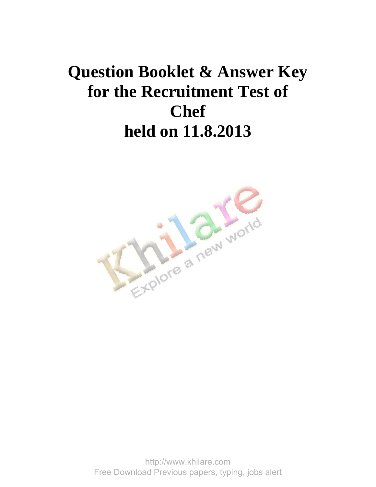## **Question Booklet & Answer Key for the Recruitment Test of Chef held on 11.8.2013**



http://www.khilare.com Free Download Previous papers, typing, jobs alert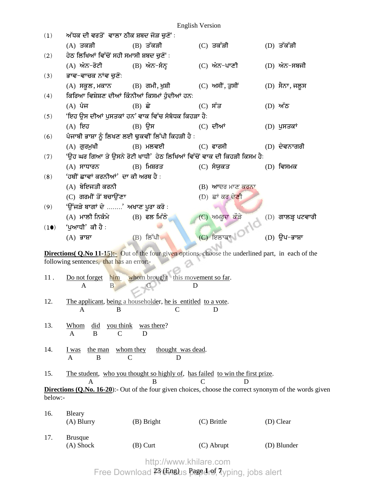| (1)                                                                                                                         | ਅੱਧਕ ਦੀ ਵਰਤੋਂ ਵਾਲਾ ਠੀਕ ਸ਼ਬਦ ਜੋੜ ਚੁਣੋਂ ∶        |                                                                                                            |  |                    |  |                     |  |
|-----------------------------------------------------------------------------------------------------------------------------|------------------------------------------------|------------------------------------------------------------------------------------------------------------|--|--------------------|--|---------------------|--|
|                                                                                                                             | (A) ਤਕੜੀ                                       | $(B)$ ਤੱਕੜੀ                                                                                                |  | (C) ਤਕੱੜੀ          |  | (D) ਤੱਕੱੜੀ          |  |
| (2)                                                                                                                         | ਹੇਠ ਲਿਖਿਆਂ ਵਿੱਚੋਂ ਸਹੀ ਸਮਾਸੀ ਸ਼ਬਦ ਚੁਣੋਂ :       |                                                                                                            |  |                    |  |                     |  |
|                                                                                                                             | (A) ਅੰਨ-ਰੋਟੀ                                   | (B) ਅੰਨ–ਸੰਨ੍ਹ                                                                                              |  | (C) ਅੰਨ-ਪਾਣੀ       |  | $(D)$ ਅੰਨ–ਸਬਜੀ      |  |
| (3)                                                                                                                         | ਭਾਵ-ਵਾਚਕ ਨਾਂਵ ਚੁਣੋ:                            |                                                                                                            |  |                    |  |                     |  |
|                                                                                                                             |                                                | (A) ਸਕੂਲ, ਮਕਾਨ         (B) ਗਮੀ, ਖੁਸ਼ੀ              (C) ਅਸੀਂ, ਤੁਸੀਂ                                         |  |                    |  | (D) ਸੈਨਾ, ਜਲੂਸ      |  |
| (4)                                                                                                                         | ਕਿਰਿਆ ਵਿਸ਼ੇਸ਼ਣ ਦੀਆਂ ਕਿੰਨੀਆਂ ਕਿਸਮਾਂ ਹੁੰਦੀਆਂ ਹਨ: |                                                                                                            |  |                    |  |                     |  |
|                                                                                                                             | (A) ਪੰਜ                                        | $(B)$ ਛੇ                                                                                                   |  | $(C)$ ਸੱਤ          |  | (D) ਅੱਠ             |  |
| (5)                                                                                                                         |                                                | 'ਇਹ ਉਸ ਦੀਆਂ ਪੁਸਤਕਾਂ ਹਨ' ਵਾਕ ਵਿੱਚ ਸੰਬੰਧਕ ਕਿਹੜਾ ਹੈ:                                                          |  |                    |  |                     |  |
|                                                                                                                             | (A) ਇਹ                                         | $(B)$ ਉਸ                                                                                                   |  | $(C)$ ਦੀਆਂ         |  | (D) ਪੁਸਤਕਾਂ         |  |
| (6)                                                                                                                         |                                                | ਪੰਜਾਬੀ ਭਾਸ਼ਾ ਨੂੰ ਲਿਖਣ ਲਈ ਢੁਕਵੀਂ ਲਿੱਪੀ ਕਿਹੜੀ ਹੈ :                                                           |  |                    |  |                     |  |
|                                                                                                                             | (A) ਗੁਰਮੁਖੀ                                    | (B) ਮਲਵਈ                                                                                                   |  | (C) ਫਾਰਸੀ          |  | (D) ਦੇਵਨਾਗਰੀ        |  |
| (7)                                                                                                                         |                                                | 'ਉਹ ਘਰ ਗਿਆ ਤੇ ਉਸਨੇ ਰੋਟੀ ਖਾਧੀ' ਹੇਠ ਲਿਖਿਆਂ ਵਿੱਚੋਂ ਵਾਕ ਦੀ ਕਿਹੜੀ ਕਿਸਮ ਹੈ:                                      |  |                    |  |                     |  |
|                                                                                                                             | (A) ਸਾਧਾਰਨ                                     | $(B)$ ਮਿਸ਼ਰਤ                                                                                               |  | (C) ਸੰਯੁਕਤ         |  | $(D)$ ਵਿਸਮਕ         |  |
| (8)                                                                                                                         | 'ਹਥੀਂ ਛਾਵਾਂ ਕਰਨੀਆਂ' ਦਾ ਕੀ ਅਰਥ ਹੈ :             |                                                                                                            |  |                    |  |                     |  |
|                                                                                                                             | (A) ਬੇਇਜਤੀ ਕਰਨੀ                                |                                                                                                            |  | $(B)$ ਆਦਰ ਮਾਣ ਕਰਨਾ |  |                     |  |
|                                                                                                                             | (C) ਗਰਮੀਂ ਤੋਂ ਬਚਾਉਂਣਾ                          |                                                                                                            |  | $(D)$ ਛਾਂ ਕਰ ਦੇਣੀ  |  |                     |  |
| (9)                                                                                                                         | 'ਉੱਜੜੇ ਬਾਗਾਂ ਦੇ ' ਅਖਾਣ ਪੁਰਾ ਕਰੋ <b>:</b>       |                                                                                                            |  |                    |  |                     |  |
|                                                                                                                             | (A) ਮਾਲੀ ਨਿਕੰਮੇ                                | $(B)$ ਫਲ ਮਿੱਠੇ                                                                                             |  | (C) ਅਮਰੂਦ ਕੌੜੇ     |  | $(D)$ ਗਾਲੜ੍ਹ ਪਟਵਾਗੀ |  |
| (10)                                                                                                                        | 'ਪੁਆਧੀ' ਕੀ ਹੈ :                                |                                                                                                            |  |                    |  |                     |  |
|                                                                                                                             | $(A)$ ਭਾਸ਼ਾ                                    | $(B)$ ਲਿੱਪੀ                                                                                                |  | C FeargNOMO        |  | $(D)$ ੳਪ–ਭਾਸ਼ਾ      |  |
|                                                                                                                             |                                                |                                                                                                            |  |                    |  |                     |  |
|                                                                                                                             |                                                | <b>Directions (Q.No 11-15):-</b> Out of the four given options, choose the underlined part, in each of the |  |                    |  |                     |  |
|                                                                                                                             | following sentences, that has an error:-       |                                                                                                            |  |                    |  |                     |  |
| 11.                                                                                                                         | Do not forget him                              | whom brought this movement so far.                                                                         |  |                    |  |                     |  |
|                                                                                                                             | D<br>A<br>B                                    |                                                                                                            |  |                    |  |                     |  |
|                                                                                                                             |                                                |                                                                                                            |  |                    |  |                     |  |
| 12.                                                                                                                         | A<br>B                                         | The applicant, being a householder, he is entitled to a vote.                                              |  | D                  |  |                     |  |
|                                                                                                                             |                                                |                                                                                                            |  |                    |  |                     |  |
| 13.                                                                                                                         | you think<br>did<br><b>Whom</b>                | was there?                                                                                                 |  |                    |  |                     |  |
|                                                                                                                             | B<br>$\mathsf{C}$<br>A                         | D                                                                                                          |  |                    |  |                     |  |
| 14.                                                                                                                         | the man<br>I was                               | whom they<br>thought was dead.                                                                             |  |                    |  |                     |  |
|                                                                                                                             | B<br>A                                         | C<br>D                                                                                                     |  |                    |  |                     |  |
|                                                                                                                             |                                                |                                                                                                            |  |                    |  |                     |  |
| 15.                                                                                                                         |                                                | The student, who you thought so highly of, has failed to win the first prize.                              |  |                    |  |                     |  |
| B<br>D<br>C<br>A<br>Directions (Q.No. 16-20):- Out of the four given choices, choose the correct synonym of the words given |                                                |                                                                                                            |  |                    |  |                     |  |
| below:-                                                                                                                     |                                                |                                                                                                            |  |                    |  |                     |  |
|                                                                                                                             |                                                |                                                                                                            |  |                    |  |                     |  |
| 16.                                                                                                                         | Bleary                                         |                                                                                                            |  |                    |  |                     |  |
|                                                                                                                             | (A) Blurry                                     | (B) Bright                                                                                                 |  | (C) Brittle        |  | (D) Clear           |  |
| 17.                                                                                                                         | <b>Brusque</b>                                 |                                                                                                            |  |                    |  |                     |  |
|                                                                                                                             | (A) Shock                                      | $(B)$ Curt                                                                                                 |  | (C) Abrupt         |  | (D) Blunder         |  |
|                                                                                                                             |                                                |                                                                                                            |  |                    |  |                     |  |

http://www.khilare.com

23 (Eng) Page **1** of **7** Free Download Previous papers, typing, jobs alert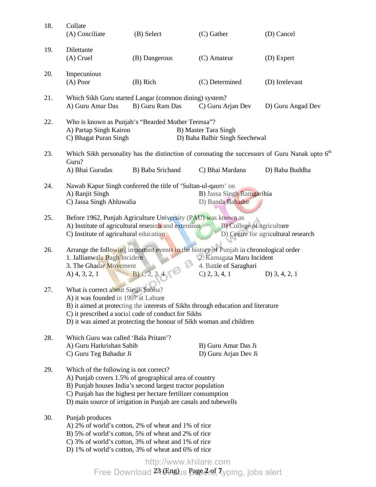| 18. | Collate<br>(A) Conciliate                                                                                                                                                                                                                                                                    | (B) Select                                                                                                                                                                                                                                             | $(C)$ Gather                                                                                                                                                      | (D) Cancel                                                                                                 |  |
|-----|----------------------------------------------------------------------------------------------------------------------------------------------------------------------------------------------------------------------------------------------------------------------------------------------|--------------------------------------------------------------------------------------------------------------------------------------------------------------------------------------------------------------------------------------------------------|-------------------------------------------------------------------------------------------------------------------------------------------------------------------|------------------------------------------------------------------------------------------------------------|--|
| 19. | Dilettante<br>$(A)$ Cruel                                                                                                                                                                                                                                                                    | (B) Dangerous                                                                                                                                                                                                                                          | (C) Amateur                                                                                                                                                       | (D) Expert                                                                                                 |  |
| 20. | Impecunious<br>$(A)$ Poor                                                                                                                                                                                                                                                                    | (B) Rich                                                                                                                                                                                                                                               | (C) Determined                                                                                                                                                    | (D) Irrelevant                                                                                             |  |
| 21. | A) Guru Amar Das                                                                                                                                                                                                                                                                             | Which Sikh Guru started Langar (common dining) system?<br>B) Guru Ram Das                                                                                                                                                                              | C) Guru Arjan Dev                                                                                                                                                 | D) Guru Angad Dev                                                                                          |  |
| 22. | A) Partap Singh Kairon<br>C) Bhagat Puran Singh                                                                                                                                                                                                                                              | Who is known as Punjab's "Bearded Mother Teressa"?                                                                                                                                                                                                     | B) Master Tara Singh<br>D) Baba Balbir Singh Seechewal                                                                                                            |                                                                                                            |  |
| 23. |                                                                                                                                                                                                                                                                                              |                                                                                                                                                                                                                                                        |                                                                                                                                                                   | Which Sikh personality has the distinction of coronating the successors of Guru Nanak upto 6 <sup>th</sup> |  |
|     | Guru?<br>A) Bhai Gurudas                                                                                                                                                                                                                                                                     | B) Baba Srichand                                                                                                                                                                                                                                       | C) Bhai Mardana                                                                                                                                                   | D) Baba Buddha                                                                                             |  |
| 24. | A) Ranjit Singh<br>C) Jassa Singh Ahluwalia                                                                                                                                                                                                                                                  | Nawab Kapur Singh conferred the title of 'Sultan-ul-qaum' on                                                                                                                                                                                           | B) Jassa Singh Ramgarihia<br>D) Banda Bahadur                                                                                                                     |                                                                                                            |  |
| 25. | Before 1962, Punjab Agriculture University (PAU) was known as<br>A) Institute of agricultural research and extension B) College of agriculture<br>C) Institute of agricultural education<br>D) Centre for agricultural research                                                              |                                                                                                                                                                                                                                                        |                                                                                                                                                                   |                                                                                                            |  |
| 26. | 1. Jallianwala Bagh Incident<br>3. The Ghadar Movement<br>A) $4, 3, 2, 1$                                                                                                                                                                                                                    | B) 1, 2, 3, 4, 5                                                                                                                                                                                                                                       | Arrange the following important events in the history of Punjab in chronological order<br>2. Kamagata Maru Incident<br>4. Battle of Saraghari<br>$C$ ) 2, 3, 4, 1 | D) $3, 4, 2, 1$                                                                                            |  |
| 27. | What is correct about Singh Sabha?<br>A) it was founded in 1907 at Lahore<br>B) it aimed at protecting the interests of Sikhs through education and literature<br>C) it prescribed a social code of conduct for Sikhs<br>D) it was aimed at protecting the honour of Sikh woman and children |                                                                                                                                                                                                                                                        |                                                                                                                                                                   |                                                                                                            |  |
| 28. | Which Guru was called 'Bala Pritam'?<br>A) Guru Harkrishan Sahib<br>C) Guru Teg Bahadur Ji                                                                                                                                                                                                   |                                                                                                                                                                                                                                                        | B) Guru Amar Das Ji<br>D) Guru Arjan Dev Ji                                                                                                                       |                                                                                                            |  |
| 29. | Which of the following is not correct?                                                                                                                                                                                                                                                       | A) Punjab covers 1.5% of geographical area of country<br>B) Punjab houses India's second largest tractor population<br>C) Punjab has the highest per hectare fertilizer consumption<br>D) main source of irrigation in Punjab are canals and tubewells |                                                                                                                                                                   |                                                                                                            |  |
| 30. | Punjab produces                                                                                                                                                                                                                                                                              | A) 2% of world's cotton, 2% of wheat and 1% of rice<br>B) 5% of world's cotton, 5% of wheat and 2% of rice<br>C) 3% of world's cotton, 3% of wheat and 1% of rice<br>D) 1% of world's cotton, 3% of wheat and 6% of rice                               |                                                                                                                                                                   |                                                                                                            |  |
|     |                                                                                                                                                                                                                                                                                              | http://www.khilare.com                                                                                                                                                                                                                                 |                                                                                                                                                                   |                                                                                                            |  |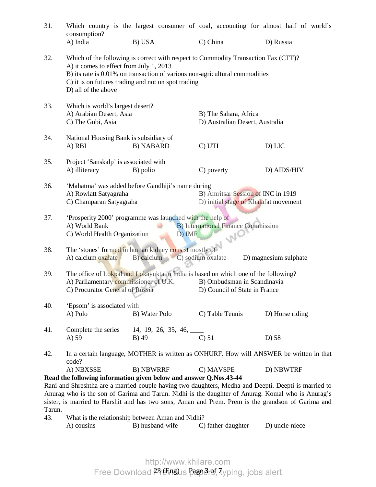| 31.           | consumption?<br>A) India                                                                                                                                                                                                        | B) USA                                                                                                                                                                                                                   | C) China                                                 | Which country is the largest consumer of coal, accounting for almost half of world's<br>D) Russia                                                                                                         |  |
|---------------|---------------------------------------------------------------------------------------------------------------------------------------------------------------------------------------------------------------------------------|--------------------------------------------------------------------------------------------------------------------------------------------------------------------------------------------------------------------------|----------------------------------------------------------|-----------------------------------------------------------------------------------------------------------------------------------------------------------------------------------------------------------|--|
|               |                                                                                                                                                                                                                                 |                                                                                                                                                                                                                          |                                                          |                                                                                                                                                                                                           |  |
| 32.           | A) it comes to effect from July 1, 2013<br>D) all of the above                                                                                                                                                                  | Which of the following is correct with respect to Commodity Transaction Tax (CTT)?<br>B) its rate is 0.01% on transaction of various non-agricultural commodities<br>C) it is on futures trading and not on spot trading |                                                          |                                                                                                                                                                                                           |  |
| 33.           | Which is world's largest desert?<br>A) Arabian Desert, Asia<br>C) The Gobi, Asia                                                                                                                                                |                                                                                                                                                                                                                          | B) The Sahara, Africa<br>D) Australian Desert, Australia |                                                                                                                                                                                                           |  |
| 34.           | National Housing Bank is subsidiary of<br>A) RBI                                                                                                                                                                                | <b>B) NABARD</b>                                                                                                                                                                                                         | C) UTI                                                   | D) LIC                                                                                                                                                                                                    |  |
| 35.           | Project 'Sanskalp' is associated with<br>A) illiteracy                                                                                                                                                                          | B) polio                                                                                                                                                                                                                 | C) poverty                                               | D) AIDS/HIV                                                                                                                                                                                               |  |
| 36.           | 'Mahatma' was added before Gandhiji's name during<br>B) Amritsar Session of INC in 1919<br>A) Rowlatt Satyagraha<br>C) Champaran Satyagraha<br>D) initial stage of Khalafat movement                                            |                                                                                                                                                                                                                          |                                                          |                                                                                                                                                                                                           |  |
| 37.           | 'Prosperity 2000' programme was launched with the help of<br><b>B)</b> International Finance Commission<br>A) World Bank<br>C) World Health Organization<br>D) IMF<br>WO                                                        |                                                                                                                                                                                                                          |                                                          |                                                                                                                                                                                                           |  |
| 38.           | A) calcium oxalate                                                                                                                                                                                                              | The 'stones' formed in human kidney consist mostly of<br>B) calcium                                                                                                                                                      | C) sodium oxalate                                        | D) magnesium sulphate                                                                                                                                                                                     |  |
| 39.           | The office of Lokpal and Lokayukta in India is based on which one of the following?<br>A) Parliamentary commissioner of U.K.<br>B) Ombudsman in Scandinavia<br>C) Procurator General of Russia<br>D) Council of State in France |                                                                                                                                                                                                                          |                                                          |                                                                                                                                                                                                           |  |
| 40.           | 'Epsom' is associated with<br>A) Polo                                                                                                                                                                                           | B) Water Polo                                                                                                                                                                                                            | C) Table Tennis                                          | D) Horse riding                                                                                                                                                                                           |  |
| 41.           | Complete the series<br>A) 59                                                                                                                                                                                                    | 14, 19, 26, 35, 46, $\_\_\_\_\_\_\_\_\_\_\_\_\_\_\_\_\_\_\_\_\_\_\_\_\_\_\_\_\_\_$<br>B) 49                                                                                                                              | $C$ ) 51                                                 | D) 58                                                                                                                                                                                                     |  |
| 42.           | code?                                                                                                                                                                                                                           |                                                                                                                                                                                                                          |                                                          | In a certain language, MOTHER is written as ONHURF. How will ANSWER be written in that                                                                                                                    |  |
|               | A) NBXSSE                                                                                                                                                                                                                       | <b>B) NBWRRF</b>                                                                                                                                                                                                         | C) MAVSPE                                                | D) NBWTRF                                                                                                                                                                                                 |  |
|               | Read the following information given below and answer Q.Nos.43-44                                                                                                                                                               |                                                                                                                                                                                                                          |                                                          | Rani and Shreshtha are a married couple having two daughters, Medha and Deepti. Deepti is married to<br>Anurag who is the son of Garima and Tarun. Nidhi is the daughter of Anurag. Komal who is Anurag's |  |
|               |                                                                                                                                                                                                                                 |                                                                                                                                                                                                                          |                                                          | sister, is married to Harshit and has two sons, Aman and Prem. Prem is the grandson of Garima and                                                                                                         |  |
| Tarun.<br>43. |                                                                                                                                                                                                                                 |                                                                                                                                                                                                                          |                                                          |                                                                                                                                                                                                           |  |
|               | A) cousins                                                                                                                                                                                                                      | What is the relationship between Aman and Nidhi?<br>B) husband-wife                                                                                                                                                      | C) father-daughter                                       | D) uncle-niece                                                                                                                                                                                            |  |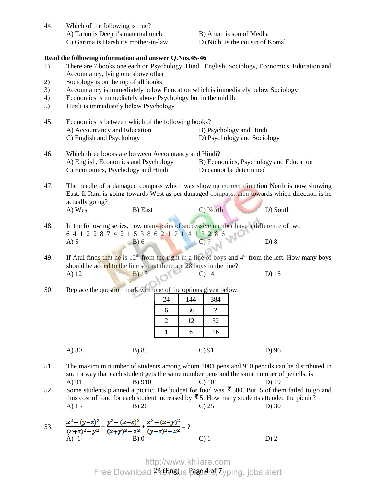| 44.                        | Which of the following is true?<br>A) Tarun is Deepti's maternal uncle<br>C) Garima is Harshit's mother-in-law                                                                                                                                                                                                                                                                                                                      | B) Aman is son of Medha<br>D) Nidhi is the cousin of Komal        |  |  |  |  |
|----------------------------|-------------------------------------------------------------------------------------------------------------------------------------------------------------------------------------------------------------------------------------------------------------------------------------------------------------------------------------------------------------------------------------------------------------------------------------|-------------------------------------------------------------------|--|--|--|--|
| 1)<br>2)<br>3)<br>4)<br>5) | Read the following information and answer Q.Nos.45-46<br>There are 7 books one each on Psychology, Hindi, English, Sociology, Economics, Education and<br>Accountancy, lying one above other<br>Sociology is on the top of all books<br>Accountancy is immediately below Education which is immediately below Sociology<br>Economics is immediately above Psychology but in the middle<br>Hindi is immediately below Psychology     |                                                                   |  |  |  |  |
| 45.                        | Economics is between which of the following books?<br>A) Accountancy and Education<br>C) English and Psychology                                                                                                                                                                                                                                                                                                                     | B) Psychology and Hindi<br>D) Psychology and Sociology            |  |  |  |  |
| 46.                        | Which three books are between Accountancy and Hindi?<br>A) English, Economics and Psychology<br>C) Economics, Psychology and Hindi                                                                                                                                                                                                                                                                                                  | B) Economics, Psychology and Education<br>D) cannot be determined |  |  |  |  |
| 47.                        | The needle of a damaged compass which was showing correct direction North is now showing<br>East. If Ram is going towards West as per damaged compass, then towards which direction is he<br>actually going?<br>A) West<br>B) East                                                                                                                                                                                                  | C) North<br>D) South                                              |  |  |  |  |
| 48.                        | In the following series, how many pairs of successive number have a difference of two<br>6 4 1 2 2 8 7 4 2 1 5 3 8 6 2 1 7 1 4 1 3 2 8 6<br>A) 5<br>B) 6<br>C) 7                                                                                                                                                                                                                                                                    | D) 8                                                              |  |  |  |  |
| 49.                        | If Atul finds that he is $12th$ from the right in a line of boys and $4th$ from the left. How many boys<br>should be added to the line so that there are 28 boys in the line?<br>B) 13<br>A) 12                                                                                                                                                                                                                                     | $C)$ 14<br>$D)$ 15                                                |  |  |  |  |
| 50.                        | Replace the question mark with one of the options given below:<br>24<br>144<br>6<br>36<br>$\overline{2}$<br>12<br>1<br>6                                                                                                                                                                                                                                                                                                            | 384<br>$\overline{\mathcal{E}}$<br>32<br>16                       |  |  |  |  |
|                            | A) 80<br>B) 85                                                                                                                                                                                                                                                                                                                                                                                                                      | $C$ ) 91<br>D) 96                                                 |  |  |  |  |
| 51.<br>52.                 | The maximum number of students among whom 1001 pens and 910 pencils can be distributed in<br>such a way that each student gets the same number pens and the same number of pencils, is<br>B) 910<br>A) 91<br>Some students planned a picnic. The budget for food was $\bar{3}$ 500. But, 5 of them failed to go and<br>thus cost of food for each student increased by $\bar{\mathbf{z}}$ 5. How many students attended the picnic? | $C$ ) 101<br>D) 19                                                |  |  |  |  |
|                            | A) 15<br>$B)$ 20                                                                                                                                                                                                                                                                                                                                                                                                                    | $C$ ) 25<br>$D)$ 30                                               |  |  |  |  |

53.  $\frac{x-2y}{(x+2)^2} + \frac{y-2y}{(x+2)^2} + \frac{z-2y}{(x+2)^2} = ?$ A) -1 B) 0 C) 1 D) 2

> 23 (Eng) Page **4** of **7** http://www.khilare.com Free Download Previous papers, typing, jobs alert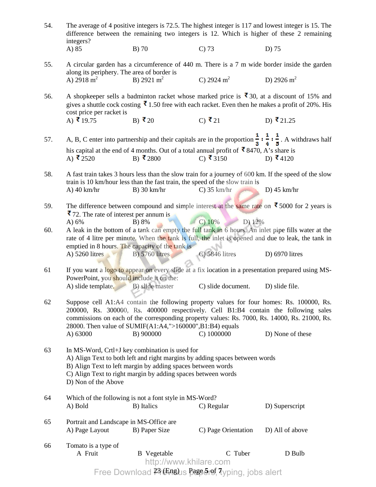| 54. | The average of 4 positive integers is 72.5. The highest integer is 117 and lowest integer is 15. The<br>difference between the remaining two integers is 12. Which is higher of these 2 remaining<br>integers?                                                                                                                               |                                                                                               |                                                                                                                                  |                                                                                                                                      |  |  |
|-----|----------------------------------------------------------------------------------------------------------------------------------------------------------------------------------------------------------------------------------------------------------------------------------------------------------------------------------------------|-----------------------------------------------------------------------------------------------|----------------------------------------------------------------------------------------------------------------------------------|--------------------------------------------------------------------------------------------------------------------------------------|--|--|
|     | A) 85                                                                                                                                                                                                                                                                                                                                        | B) 70                                                                                         | $C$ ) 73                                                                                                                         | D) 75                                                                                                                                |  |  |
| 55. | along its periphery. The area of border is                                                                                                                                                                                                                                                                                                   |                                                                                               |                                                                                                                                  | A circular garden has a circumference of 440 m. There is a 7 m wide border inside the garden                                         |  |  |
|     | A) 2918 m <sup>2</sup>                                                                                                                                                                                                                                                                                                                       | B) 2921 $m^2$                                                                                 | C) 2924 $m^2$                                                                                                                    | D) 2926 $m^2$                                                                                                                        |  |  |
| 56. | A shopkeeper sells a badminton racket whose marked price is $\bar{\phantom{1}}30$ , at a discount of 15% and<br>gives a shuttle cock costing $\bar{\mathbf{\xi}}$ 1.50 free with each racket. Even then he makes a profit of 20%. His<br>cost price per racket is                                                                            |                                                                                               |                                                                                                                                  |                                                                                                                                      |  |  |
|     | A) ₹ 19.75                                                                                                                                                                                                                                                                                                                                   | B) ₹20                                                                                        | C) ₹21                                                                                                                           | D) ₹21.25                                                                                                                            |  |  |
| 57. |                                                                                                                                                                                                                                                                                                                                              |                                                                                               |                                                                                                                                  | A, B, C enter into partnership and their capitals are in the proportion $\frac{1}{3} : \frac{1}{4} : \frac{1}{5}$ . A withdraws half |  |  |
|     | A) ₹2520                                                                                                                                                                                                                                                                                                                                     | B) ₹2800                                                                                      | his capital at the end of 4 months. Out of a total annual profit of $\bar{\mathbf{\mathcal{R}}}$ 8470, A's share is<br>C) ₹ 3150 | D) ₹4120                                                                                                                             |  |  |
| 58. | $A)$ 40 km/hr                                                                                                                                                                                                                                                                                                                                | train is 10 km/hour less than the fast train, the speed of the slow train is<br>$B)$ 30 km/hr | $C$ ) 35 km/hr                                                                                                                   | A fast train takes 3 hours less than the slow train for a journey of 600 km. If the speed of the slow<br>D) $45 \text{ km/hr}$       |  |  |
| 59. | ₹72. The rate of interest per annum is<br>A) 6%                                                                                                                                                                                                                                                                                              | B) 8%                                                                                         | C) 10%<br>D) 12%                                                                                                                 | The difference between compound and simple interest at the same rate on $\bar{\mathbf{\cdot}}$ 5000 for 2 years is                   |  |  |
| 60. | A leak in the bottom of a tank can empty the full tank in 6 hours. An inlet pipe fills water at the<br>rate of 4 litre per minute. When the tank is full, the inlet is opened and due to leak, the tank in<br>emptied in 8 hours. The capacity of the tank is                                                                                |                                                                                               |                                                                                                                                  |                                                                                                                                      |  |  |
|     | A) 5260 litres                                                                                                                                                                                                                                                                                                                               | $B)$ 5760 litres                                                                              | C) 5846 litres                                                                                                                   | D) $6970$ litres                                                                                                                     |  |  |
| 61  | PowerPoint, you should include it on the:                                                                                                                                                                                                                                                                                                    |                                                                                               |                                                                                                                                  | If you want a logo to appear on every slide at a fix location in a presentation prepared using MS-                                   |  |  |
|     | A) slide template.                                                                                                                                                                                                                                                                                                                           | B) slide master                                                                               | C) slide document.                                                                                                               | D) slide file.                                                                                                                       |  |  |
| 62  | Suppose cell A1:A4 contain the following property values for four homes: Rs. 100000, Rs.<br>200000, Rs. 300000, Rs. 400000 respectively. Cell B1:B4 contain the following sales<br>commissions on each of the corresponding property values: Rs. 7000, Rs. 14000, Rs. 21000, Rs.<br>28000. Then value of SUMIF(A1:A4,">160000",B1:B4) equals |                                                                                               |                                                                                                                                  |                                                                                                                                      |  |  |
|     | A) 63000                                                                                                                                                                                                                                                                                                                                     | B) 900000                                                                                     | C) 1000000                                                                                                                       | D) None of these                                                                                                                     |  |  |
| 63  | In MS-Word, Crtl+J key combination is used for<br>A) Align Text to both left and right margins by adding spaces between words<br>B) Align Text to left margin by adding spaces between words<br>C) Align Text to right margin by adding spaces between words<br>D) Non of the Above                                                          |                                                                                               |                                                                                                                                  |                                                                                                                                      |  |  |
| 64  | A) Bold                                                                                                                                                                                                                                                                                                                                      | Which of the following is not a font style in MS-Word?<br>B) Italics                          | C) Regular                                                                                                                       | D) Superscript                                                                                                                       |  |  |
| 65  | Portrait and Landscape in MS-Office are<br>A) Page Layout                                                                                                                                                                                                                                                                                    | B) Paper Size                                                                                 | C) Page Orientation                                                                                                              | D) All of above                                                                                                                      |  |  |
| 66  | Tomato is a type of                                                                                                                                                                                                                                                                                                                          |                                                                                               |                                                                                                                                  |                                                                                                                                      |  |  |
|     | A Fruit                                                                                                                                                                                                                                                                                                                                      | <b>B</b> Vegetable<br>http://www.khilare.com                                                  | C Tuber                                                                                                                          | D Bulb                                                                                                                               |  |  |
|     |                                                                                                                                                                                                                                                                                                                                              |                                                                                               | Free Download 23 (Englis Page 5 of, Typing, jobs alert                                                                           |                                                                                                                                      |  |  |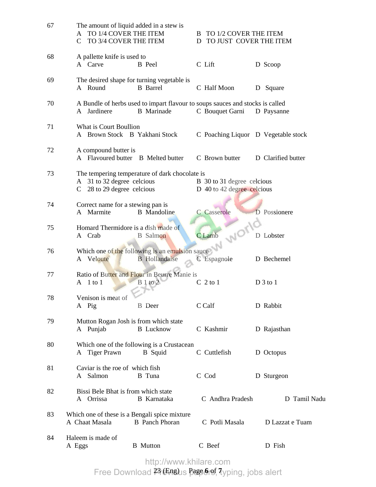| 67 | The amount of liquid added in a stew is<br>TO 1/4 COVER THE ITEM<br>A<br>$\mathsf{C}$<br>TO 3/4 COVER THE ITEM    | B TO 1/2 COVER THE ITEM<br>TO JUST COVER THE ITEM<br>D   |                    |
|----|-------------------------------------------------------------------------------------------------------------------|----------------------------------------------------------|--------------------|
| 68 | A pallette knife is used to<br>A Carve<br>B Peel                                                                  | C Lift                                                   | D Scoop            |
| 69 | The desired shape for turning vegetable is<br>A Round<br><b>B</b> Barrel                                          | C Half Moon                                              | D Square           |
| 70 | A Bundle of herbs used to impart flavour to soups sauces and stocks is called<br>A Jardinere<br><b>B</b> Marinade | C Bouquet Garni                                          | D Paysanne         |
| 71 | What is Court Boullion<br>A Brown Stock B Yakhani Stock                                                           | C Poaching Liquor D Vegetable stock                      |                    |
| 72 | A compound butter is<br>A Flavoured butter B Melted butter                                                        | C Brown butter                                           | D Clarified butter |
| 73 | The tempering temperature of dark chocolate is<br>A 31 to 32 degree celcious<br>C 28 to 29 degree celcious        | B 30 to 31 degree celcious<br>D 40 to 42 degree celcious |                    |
| 74 | Correct name for a stewing pan is<br>A Marmite<br><b>B</b> Mandoline                                              | C Casserole                                              | D Possionere       |
| 75 |                                                                                                                   |                                                          | D Lobster          |
| 76 | Which one of the following is an emulsion sauce<br>A Veloute<br>B Hollandaise                                     |                                                          | D Bechemel         |
| 77 | Ratio of Butter and Flour in Beurre Manie is<br>A 1 to 1<br>$B1$ to $2$                                           | $C2$ to 1                                                | $D_3$ to 1         |
| 78 | Venison is meat of<br>A Pig<br><b>B</b> Deer                                                                      | C Calf                                                   | D Rabbit           |
| 79 | Mutton Rogan Josh is from which state<br>A Punjab<br><b>B</b> Lucknow                                             | C Kashmir                                                | D Rajasthan        |
| 80 | Which one of the following is a Crustacean<br>A Tiger Prawn<br><b>B</b> Squid                                     | C Cuttlefish                                             | D Octopus          |
| 81 | Caviar is the roe of which fish<br>A Salmon<br><b>B</b> Tuna                                                      | C Cod                                                    | D Sturgeon         |
| 82 | Bissi Bele Bhat is from which state<br>A Orrissa<br><b>B</b> Karnataka                                            | C Andhra Pradesh                                         | D Tamil Nadu       |
| 83 | Which one of these is a Bengali spice mixture<br>A Chaat Masala<br><b>B</b> Panch Phoran                          | C Potli Masala                                           | D Lazzat e Tuam    |
| 84 | Haleem is made of<br><b>B</b> Mutton<br>A Eggs                                                                    | C Beef                                                   | D Fish             |

http://www.khilare.com

23 (Eng) Page **6** of **7** Free Download Previous papers, typing, jobs alert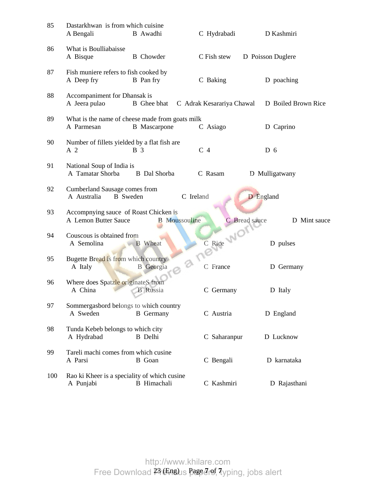| 85  | Dastarkhwan is from which cuisine<br>A Bengali                  | B Awadhi                                                               | C Hydrabadi               | D Kashmiri          |
|-----|-----------------------------------------------------------------|------------------------------------------------------------------------|---------------------------|---------------------|
| 86  | What is Boulliabaisse<br>A Bisque                               | <b>B</b> Chowder                                                       | C Fish stew               | D Poisson Duglere   |
| 87  | Fish muniere refers to fish cooked by<br>A Deep fry             | B Pan fry                                                              | C Baking                  | D poaching          |
| 88  | Accompaniment for Dhansak is<br>A Jeera pulao                   | <b>B</b> Ghee bhat                                                     | C Adrak Kesarariya Chawal | D Boiled Brown Rice |
| 89  | A Parmesan                                                      | What is the name of cheese made from goats milk<br><b>B</b> Mascarpone | C Asiago                  | D Caprino           |
| 90  | Number of fillets yielded by a flat fish are<br>A 2             | <b>B</b> 3                                                             | C <sub>4</sub>            | D <sub>6</sub>      |
| 91  | National Soup of India is<br>A Tamatar Shorba                   | <b>B</b> Dal Shorba                                                    | C Rasam                   | D Mulligatwany      |
| 92  | Cumberland Sausage comes from<br>A Australia<br><b>B</b> Sweden | C Ireland                                                              |                           | D England           |
| 93  | Accompnying sauce of Roast Chicken is<br>A Lemon Butter Sauce   | <b>B</b> Moussouline                                                   | C Bread sauce             | D Mint sauce        |
| 94  | Couscous is obtained from<br>A Semolina                         | <b>B</b> Wheat                                                         | C Rice WICK               | D pulses            |
| 95  | Bugette Bread is from which country<br>A Italy                  | 9<br><b>B</b> Georgia                                                  | C France                  | D Germany           |
| 96  | Where does Spatzle originateS from<br>A China                   | <b>B</b> Russia                                                        | C Germany                 | D Italy             |
| 97  | Sommergasbord belongs to which country<br>A Sweden              | <b>B</b> Germany                                                       | C Austria                 | D England           |
| 98  | Tunda Kebeb belongs to which city<br>A Hydrabad                 | <b>B</b> Delhi                                                         | C Saharanpur              | D Lucknow           |
| 99  | Tareli machi comes from which cusine<br>A Parsi                 | <b>B</b> Goan                                                          | C Bengali                 | D karnataka         |
| 100 | Rao ki Kheer is a speciality of which cusine<br>A Punjabi       | <b>B</b> Himachali                                                     | C Kashmiri                | D Rajasthani        |